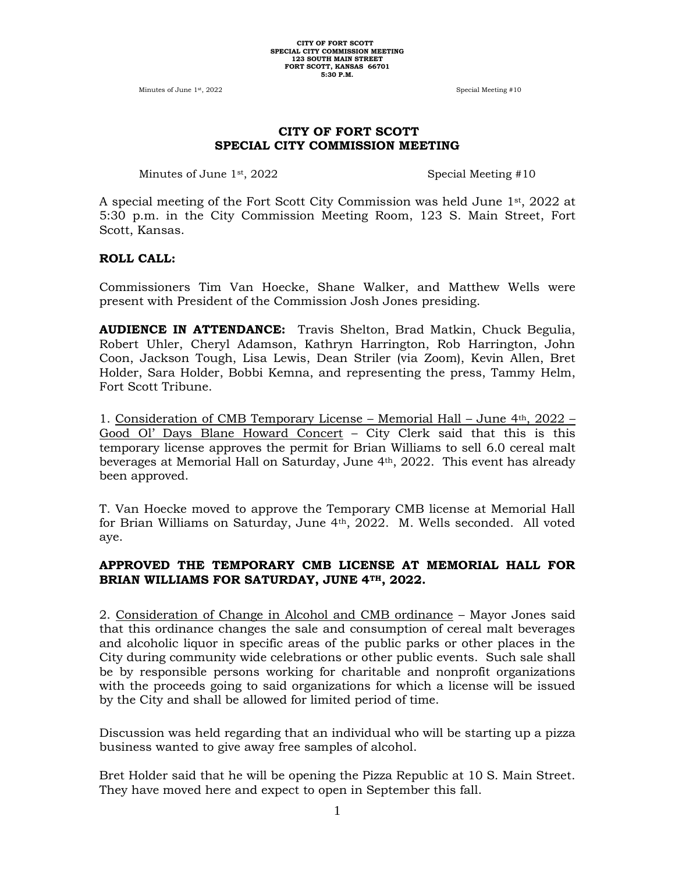Minutes of June 1<sup>st</sup>, 2022 **Special Meeting #10** 

## **CITY OF FORT SCOTT SPECIAL CITY COMMISSION MEETING**

Minutes of June 1<sup>st</sup>, 2022 Special Meeting #10

A special meeting of the Fort Scott City Commission was held June  $1<sup>st</sup>$ , 2022 at 5:30 p.m. in the City Commission Meeting Room, 123 S. Main Street, Fort Scott, Kansas.

#### **ROLL CALL:**

Commissioners Tim Van Hoecke, Shane Walker, and Matthew Wells were present with President of the Commission Josh Jones presiding.

**AUDIENCE IN ATTENDANCE:** Travis Shelton, Brad Matkin, Chuck Begulia, Robert Uhler, Cheryl Adamson, Kathryn Harrington, Rob Harrington, John Coon, Jackson Tough, Lisa Lewis, Dean Striler (via Zoom), Kevin Allen, Bret Holder, Sara Holder, Bobbi Kemna, and representing the press, Tammy Helm, Fort Scott Tribune.

1. Consideration of CMB Temporary License – Memorial Hall – June 4th, 2022 – Good Ol' Days Blane Howard Concert – City Clerk said that this is this temporary license approves the permit for Brian Williams to sell 6.0 cereal malt beverages at Memorial Hall on Saturday, June 4th, 2022. This event has already been approved.

T. Van Hoecke moved to approve the Temporary CMB license at Memorial Hall for Brian Williams on Saturday, June 4th, 2022. M. Wells seconded. All voted aye.

## **APPROVED THE TEMPORARY CMB LICENSE AT MEMORIAL HALL FOR BRIAN WILLIAMS FOR SATURDAY, JUNE 4TH, 2022.**

2. Consideration of Change in Alcohol and CMB ordinance – Mayor Jones said that this ordinance changes the sale and consumption of cereal malt beverages and alcoholic liquor in specific areas of the public parks or other places in the City during community wide celebrations or other public events. Such sale shall be by responsible persons working for charitable and nonprofit organizations with the proceeds going to said organizations for which a license will be issued by the City and shall be allowed for limited period of time.

Discussion was held regarding that an individual who will be starting up a pizza business wanted to give away free samples of alcohol.

Bret Holder said that he will be opening the Pizza Republic at 10 S. Main Street. They have moved here and expect to open in September this fall.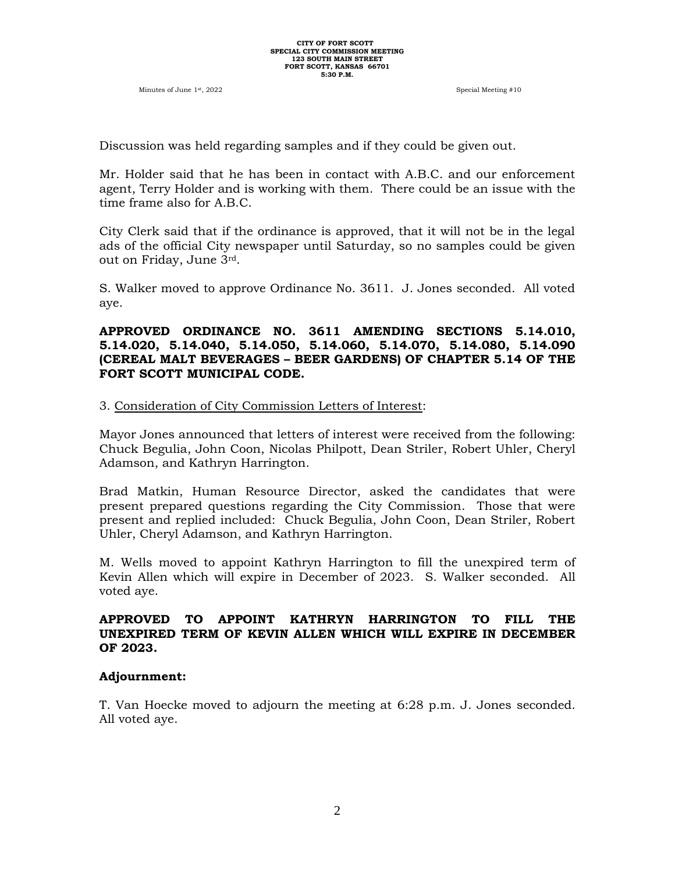Minutes of June 1st, 2022 Special Meeting #10

Discussion was held regarding samples and if they could be given out.

Mr. Holder said that he has been in contact with A.B.C. and our enforcement agent, Terry Holder and is working with them. There could be an issue with the time frame also for A.B.C.

City Clerk said that if the ordinance is approved, that it will not be in the legal ads of the official City newspaper until Saturday, so no samples could be given out on Friday, June 3rd.

S. Walker moved to approve Ordinance No. 3611. J. Jones seconded. All voted aye.

#### **APPROVED ORDINANCE NO. 3611 AMENDING SECTIONS 5.14.010, 5.14.020, 5.14.040, 5.14.050, 5.14.060, 5.14.070, 5.14.080, 5.14.090 (CEREAL MALT BEVERAGES – BEER GARDENS) OF CHAPTER 5.14 OF THE FORT SCOTT MUNICIPAL CODE.**

#### 3. Consideration of City Commission Letters of Interest:

Mayor Jones announced that letters of interest were received from the following: Chuck Begulia, John Coon, Nicolas Philpott, Dean Striler, Robert Uhler, Cheryl Adamson, and Kathryn Harrington.

Brad Matkin, Human Resource Director, asked the candidates that were present prepared questions regarding the City Commission. Those that were present and replied included: Chuck Begulia, John Coon, Dean Striler, Robert Uhler, Cheryl Adamson, and Kathryn Harrington.

M. Wells moved to appoint Kathryn Harrington to fill the unexpired term of Kevin Allen which will expire in December of 2023. S. Walker seconded. All voted aye.

### **APPROVED TO APPOINT KATHRYN HARRINGTON TO FILL THE UNEXPIRED TERM OF KEVIN ALLEN WHICH WILL EXPIRE IN DECEMBER OF 2023.**

#### **Adjournment:**

T. Van Hoecke moved to adjourn the meeting at 6:28 p.m. J. Jones seconded. All voted aye.